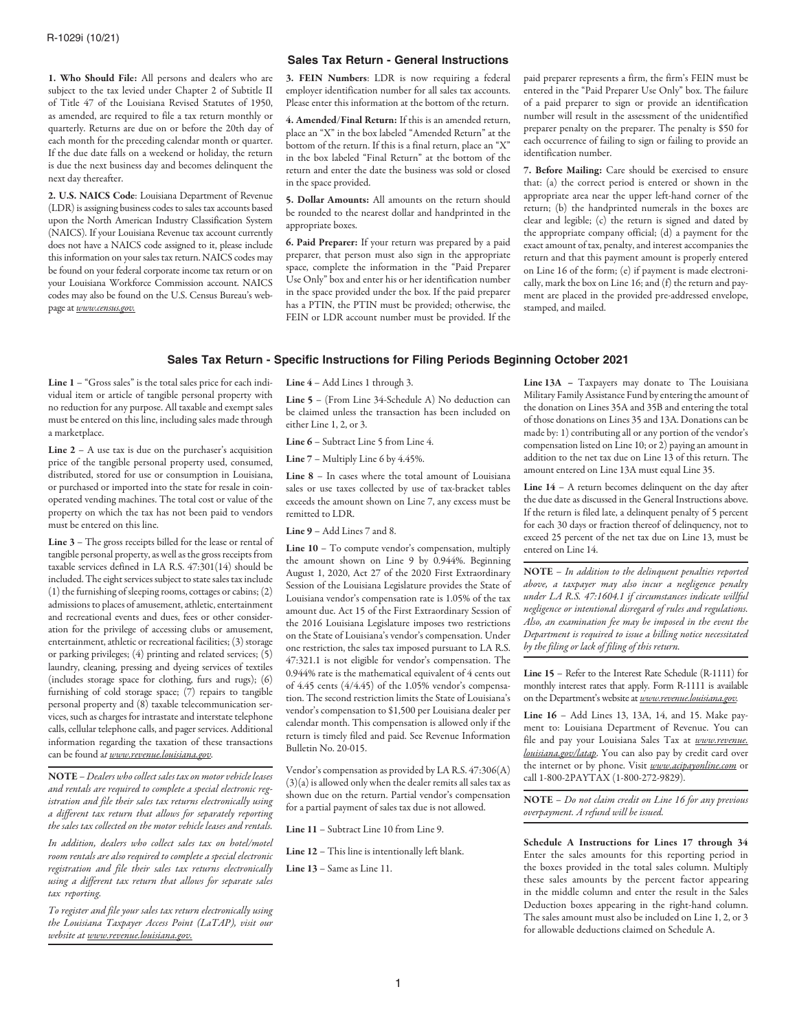1. Who Should File: All persons and dealers who are subject to the tax levied under Chapter 2 of Subtitle II of Title 47 of the Louisiana Revised Statutes of 1950, as amended, are required to file a tax return monthly or quarterly. Returns are due on or before the 20th day of each month for the preceding calendar month or quarter. If the due date falls on a weekend or holiday, the return is due the next business day and becomes delinquent the next day thereafter.

2. U.S. NAICS Code: Louisiana Department of Revenue (LDR) is assigning business codes to sales tax accounts based upon the North American Industry Classification System (NAICS). If your Louisiana Revenue tax account currently does not have a NAICS code assigned to it, please include this information on your sales tax return. NAICS codes may be found on your federal corporate income tax return or on your Louisiana Workforce Commission account. NAICS codes may also be found on the U.S. Census Bureau's webpage at *www.census.gov.*

## **Sales Tax Return - General Instructions**

3. FEIN Numbers: LDR is now requiring a federal employer identification number for all sales tax accounts. Please enter this information at the bottom of the return.

4. Amended/Final Return: If this is an amended return, place an "X" in the box labeled "Amended Return" at the bottom of the return. If this is a final return, place an "X" in the box labeled "Final Return" at the bottom of the return and enter the date the business was sold or closed in the space provided.

5. Dollar Amounts: All amounts on the return should be rounded to the nearest dollar and handprinted in the appropriate boxes.

6. Paid Preparer: If your return was prepared by a paid preparer, that person must also sign in the appropriate space, complete the information in the "Paid Preparer Use Only" box and enter his or her identification number in the space provided under the box. If the paid preparer has a PTIN, the PTIN must be provided; otherwise, the FEIN or LDR account number must be provided. If the paid preparer represents a firm, the firm's FEIN must be entered in the "Paid Preparer Use Only" box. The failure of a paid preparer to sign or provide an identification number will result in the assessment of the unidentified preparer penalty on the preparer. The penalty is \$50 for each occurrence of failing to sign or failing to provide an identification number.

7. Before Mailing: Care should be exercised to ensure that: (a) the correct period is entered or shown in the appropriate area near the upper left-hand corner of the return; (b) the handprinted numerals in the boxes are clear and legible; (c) the return is signed and dated by the appropriate company official; (d) a payment for the exact amount of tax, penalty, and interest accompanies the return and that this payment amount is properly entered on Line 16 of the form; (e) if payment is made electronically, mark the box on Line 16; and (f) the return and payment are placed in the provided pre-addressed envelope, stamped, and mailed.

### **Sales Tax Return - Specific Instructions for Filing Periods Beginning October 2021**

Line 1 – "Gross sales" is the total sales price for each individual item or article of tangible personal property with no reduction for any purpose. All taxable and exempt sales must be entered on this line, including sales made through a marketplace.

Line  $2 - A$  use tax is due on the purchaser's acquisition price of the tangible personal property used, consumed, distributed, stored for use or consumption in Louisiana, or purchased or imported into the state for resale in coinoperated vending machines. The total cost or value of the property on which the tax has not been paid to vendors must be entered on this line.

Line 3 – The gross receipts billed for the lease or rental of tangible personal property, as well as the gross receipts from taxable services defined in LA R.S. 47:301(14) should be included. The eight services subject to state sales tax include (1) the furnishing of sleeping rooms, cottages or cabins; (2) admissions to places of amusement, athletic, entertainment and recreational events and dues, fees or other consideration for the privilege of accessing clubs or amusement, entertainment, athletic or recreational facilities; (3) storage or parking privileges; (4) printing and related services; (5) laundry, cleaning, pressing and dyeing services of textiles (includes storage space for clothing, furs and rugs); (6) furnishing of cold storage space; (7) repairs to tangible personal property and (8) taxable telecommunication services, such as charges for intrastate and interstate telephone calls, cellular telephone calls, and pager services. Additional information regarding the taxation of these transactions can be found a*t www.revenue.louisiana.gov.*

NOTE – *Dealers who collect sales tax on motor vehicle leases and rentals are required to complete a special electronic registration and file their sales tax returns electronically using a different tax return that allows for separately reporting the sales tax collected on the motor vehicle leases and rentals.* 

*In addition, dealers who collect sales tax on hotel/motel room rentals are also required to complete a special electronic registration and file their sales tax returns electronically using a different tax return that allows for separate sales tax reporting.* 

*To register and file your sales tax return electronically using the Louisiana Taxpayer Access Point (LaTAP), visit our website at www.revenue.louisiana.gov.*

Line 4 – Add Lines 1 through 3.

Line 5 – (From Line 34-Schedule A) No deduction can be claimed unless the transaction has been included on either Line 1, 2, or 3.

Line 6 – Subtract Line 5 from Line 4.

Line 7 – Multiply Line 6 by 4.45%.

Line 8 – In cases where the total amount of Louisiana sales or use taxes collected by use of tax-bracket tables exceeds the amount shown on Line 7, any excess must be remitted to LDR.

Line 9 – Add Lines 7 and 8.

Line 10 – To compute vendor's compensation, multiply the amount shown on Line 9 by 0.944%. Beginning August 1, 2020, Act 27 of the 2020 First Extraordinary Session of the Louisiana Legislature provides the State of Louisiana vendor's compensation rate is 1.05% of the tax amount due. Act 15 of the First Extraordinary Session of the 2016 Louisiana Legislature imposes two restrictions on the State of Louisiana's vendor's compensation. Under one restriction, the sales tax imposed pursuant to LA R.S. 47:321.1 is not eligible for vendor's compensation. The 0.944% rate is the mathematical equivalent of 4 cents out of 4.45 cents (4/4.45) of the 1.05% vendor's compensation. The second restriction limits the State of Louisiana's vendor's compensation to \$1,500 per Louisiana dealer per calendar month. This compensation is allowed only if the return is timely filed and paid. See Revenue Information Bulletin No. 20-015.

Vendor's compensation as provided by LA R.S. 47:306(A) (3)(a) is allowed only when the dealer remits all sales tax as shown due on the return. Partial vendor's compensation for a partial payment of sales tax due is not allowed.

Line 11 – Subtract Line 10 from Line 9.

Line 12 – This line is intentionally left blank.

Line 13 – Same as Line 11.

Line 13A – Taxpayers may donate to The Louisiana Military Family Assistance Fund by entering the amount of the donation on Lines 35A and 35B and entering the total of those donations on Lines 35 and 13A. Donations can be made by: 1) contributing all or any portion of the vendor's compensation listed on Line 10; or 2) paying an amount in addition to the net tax due on Line 13 of this return. The amount entered on Line 13A must equal Line 35.

Line 14 – A return becomes delinquent on the day after the due date as discussed in the General Instructions above. If the return is filed late, a delinquent penalty of 5 percent for each 30 days or fraction thereof of delinquency, not to exceed 25 percent of the net tax due on Line 13, must be entered on Line 14.

NOTE – *In addition to the delinquent penalties reported above, a taxpayer may also incur a negligence penalty under LA R.S. 47:1604.1 if circumstances indicate willful negligence or intentional disregard of rules and regulations. Also, an examination fee may be imposed in the event the Department is required to issue a billing notice necessitated by the filing or lack of filing of this return.*

Line 15 – Refer to the Interest Rate Schedule (R-1111) for monthly interest rates that apply. Form R-1111 is available on the Department's website at *www.revenue.louisiana.gov.*

Line 16 – Add Lines 13, 13A, 14, and 15. Make payment to: Louisiana Department of Revenue. You can file and pay your Louisiana Sales Tax at *www.revenue. louisiana.gov/latap*. You can also pay by credit card over the internet or by phone. Visit *www.acipayonline.com* or call 1-800-2PAYTAX (1-800-272-9829).

NOTE – *Do not claim credit on Line 16 for any previous overpayment. A refund will be issued.*

Schedule A Instructions for Lines 17 through 34 Enter the sales amounts for this reporting period in the boxes provided in the total sales column. Multiply these sales amounts by the percent factor appearing in the middle column and enter the result in the Sales Deduction boxes appearing in the right-hand column. The sales amount must also be included on Line 1, 2, or 3 for allowable deductions claimed on Schedule A.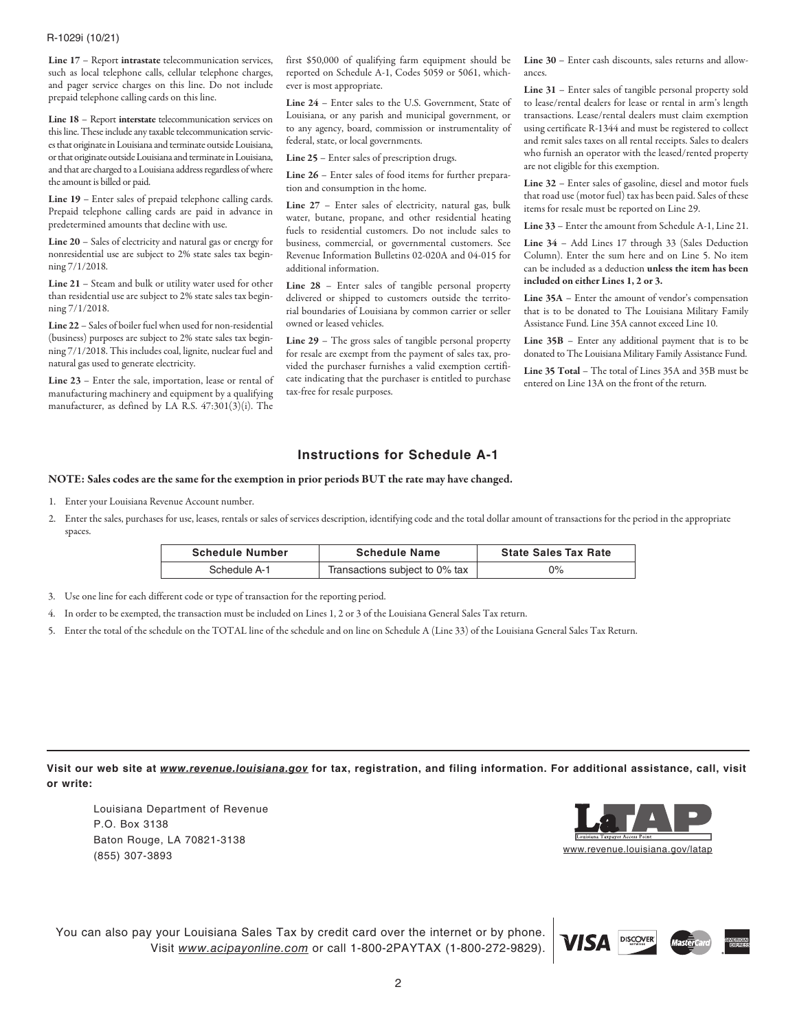## R-1029i (10/21)

Line 17 – Report intrastate telecommunication services, such as local telephone calls, cellular telephone charges, and pager service charges on this line. Do not include prepaid telephone calling cards on this line.

Line 18 – Report interstate telecommunication services on this line. These include any taxable telecommunication services that originate in Louisiana and terminate outside Louisiana, or that originate outside Louisiana and terminate in Louisiana, and that are charged to a Louisiana address regardless of where the amount is billed or paid.

Line 19 – Enter sales of prepaid telephone calling cards. Prepaid telephone calling cards are paid in advance in predetermined amounts that decline with use.

Line 20 – Sales of electricity and natural gas or energy for nonresidential use are subject to 2% state sales tax beginning 7/1/2018.

Line 21 – Steam and bulk or utility water used for other than residential use are subject to 2% state sales tax beginning 7/1/2018.

Line 22 – Sales of boiler fuel when used for non-residential (business) purposes are subject to 2% state sales tax beginning 7/1/2018. This includes coal, lignite, nuclear fuel and natural gas used to generate electricity.

Line 23 – Enter the sale, importation, lease or rental of manufacturing machinery and equipment by a qualifying manufacturer, as defined by LA R.S. 47:301(3)(i). The

first \$50,000 of qualifying farm equipment should be reported on Schedule A-1, Codes 5059 or 5061, whichever is most appropriate.

Line 24 – Enter sales to the U.S. Government, State of Louisiana, or any parish and municipal government, or to any agency, board, commission or instrumentality of federal, state, or local governments.

Line 25 – Enter sales of prescription drugs.

Line 26 – Enter sales of food items for further preparation and consumption in the home.

Line 27 – Enter sales of electricity, natural gas, bulk water, butane, propane, and other residential heating fuels to residential customers. Do not include sales to business, commercial, or governmental customers. See Revenue Information Bulletins 02-020A and 04-015 for additional information.

Line 28 – Enter sales of tangible personal property delivered or shipped to customers outside the territorial boundaries of Louisiana by common carrier or seller owned or leased vehicles.

Line 29 – The gross sales of tangible personal property for resale are exempt from the payment of sales tax, provided the purchaser furnishes a valid exemption certificate indicating that the purchaser is entitled to purchase tax-free for resale purposes.

Line 30 – Enter cash discounts, sales returns and allowances.

Line 31 – Enter sales of tangible personal property sold to lease/rental dealers for lease or rental in arm's length transactions. Lease/rental dealers must claim exemption using certificate R-1344 and must be registered to collect and remit sales taxes on all rental receipts. Sales to dealers who furnish an operator with the leased/rented property are not eligible for this exemption.

Line 32 – Enter sales of gasoline, diesel and motor fuels that road use (motor fuel) tax has been paid. Sales of these items for resale must be reported on Line 29.

Line 33 – Enter the amount from Schedule A-1, Line 21.

Line 34 – Add Lines 17 through 33 (Sales Deduction Column). Enter the sum here and on Line 5. No item can be included as a deduction unless the item has been included on either Lines 1, 2 or 3.

Line 35A – Enter the amount of vendor's compensation that is to be donated to The Louisiana Military Family Assistance Fund. Line 35A cannot exceed Line 10.

Line 35B – Enter any additional payment that is to be donated to The Louisiana Military Family Assistance Fund.

Line 35 Total – The total of Lines 35A and 35B must be entered on Line 13A on the front of the return.

# **Instructions for Schedule A-1**

### NOTE: Sales codes are the same for the exemption in prior periods BUT the rate may have changed.

- 1. Enter your Louisiana Revenue Account number.
- 2. Enter the sales, purchases for use, leases, rentals or sales of services description, identifying code and the total dollar amount of transactions for the period in the appropriate spaces.

| <b>Schedule Number</b> | <b>Schedule Name</b>           | <b>State Sales Tax Rate</b> |
|------------------------|--------------------------------|-----------------------------|
| Schedule A-1           | Transactions subject to 0% tax | 0%                          |

- 3. Use one line for each different code or type of transaction for the reporting period.
- 4. In order to be exempted, the transaction must be included on Lines 1, 2 or 3 of the Louisiana General Sales Tax return.
- 5. Enter the total of the schedule on the TOTAL line of the schedule and on line on Schedule A (Line 33) of the Louisiana General Sales Tax Return.

**Visit our web site at** *www.revenue.louisiana.gov* **for tax, registration, and filing information. For additional assistance, call, visit or write:**

Louisiana Department of Revenue P.O. Box 3138 Baton Rouge, LA 70821-3138 (855) 307-3893



You can also pay your Louisiana Sales Tax by credit card over the internet or by phone. Visit *www.acipayonline.com* or call 1-800-2PAYTAX (1-800-272-9829).

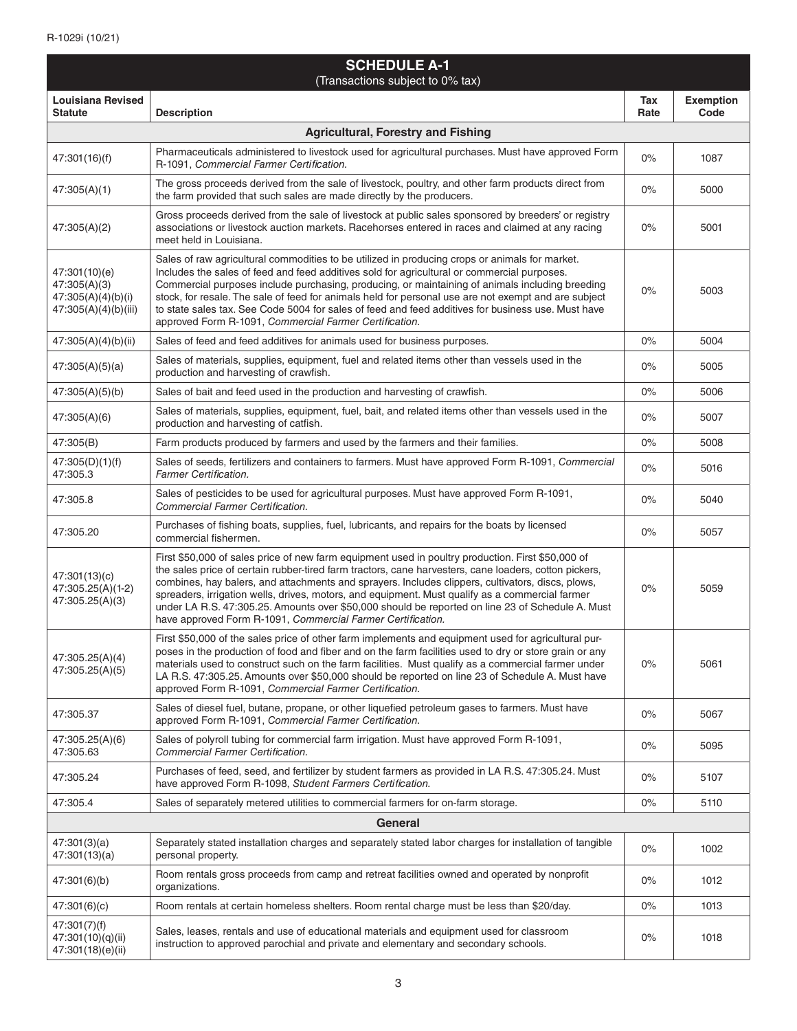| <b>SCHEDULE A-1</b><br>(Transactions subject to 0% tax)                     |                                                                                                                                                                                                                                                                                                                                                                                                                                                                                                                                                                                       |             |                          |
|-----------------------------------------------------------------------------|---------------------------------------------------------------------------------------------------------------------------------------------------------------------------------------------------------------------------------------------------------------------------------------------------------------------------------------------------------------------------------------------------------------------------------------------------------------------------------------------------------------------------------------------------------------------------------------|-------------|--------------------------|
| <b>Louisiana Revised</b><br><b>Statute</b>                                  | <b>Description</b>                                                                                                                                                                                                                                                                                                                                                                                                                                                                                                                                                                    | Tax<br>Rate | <b>Exemption</b><br>Code |
|                                                                             | <b>Agricultural, Forestry and Fishing</b>                                                                                                                                                                                                                                                                                                                                                                                                                                                                                                                                             |             |                          |
| 47:301(16)(f)                                                               | Pharmaceuticals administered to livestock used for agricultural purchases. Must have approved Form<br>R-1091, Commercial Farmer Certification.                                                                                                                                                                                                                                                                                                                                                                                                                                        | 0%          | 1087                     |
| 47:305(A)(1)                                                                | The gross proceeds derived from the sale of livestock, poultry, and other farm products direct from<br>the farm provided that such sales are made directly by the producers.                                                                                                                                                                                                                                                                                                                                                                                                          | $0\%$       | 5000                     |
| 47:305(A)(2)                                                                | Gross proceeds derived from the sale of livestock at public sales sponsored by breeders' or registry<br>associations or livestock auction markets. Racehorses entered in races and claimed at any racing<br>meet held in Louisiana.                                                                                                                                                                                                                                                                                                                                                   | $0\%$       | 5001                     |
| 47:301(10)(e)<br>47:305(A)(3)<br>47:305(A)(4)(b)(i)<br>47:305(A)(4)(b)(iii) | Sales of raw agricultural commodities to be utilized in producing crops or animals for market.<br>Includes the sales of feed and feed additives sold for agricultural or commercial purposes.<br>Commercial purposes include purchasing, producing, or maintaining of animals including breeding<br>stock, for resale. The sale of feed for animals held for personal use are not exempt and are subject<br>to state sales tax. See Code 5004 for sales of feed and feed additives for business use. Must have<br>approved Form R-1091, Commercial Farmer Certification.              | $0\%$       | 5003                     |
| 47:305(A)(4)(b)(ii)                                                         | Sales of feed and feed additives for animals used for business purposes.                                                                                                                                                                                                                                                                                                                                                                                                                                                                                                              | 0%          | 5004                     |
| 47:305(A)(5)(a)                                                             | Sales of materials, supplies, equipment, fuel and related items other than vessels used in the<br>production and harvesting of crawfish.                                                                                                                                                                                                                                                                                                                                                                                                                                              | $0\%$       | 5005                     |
| 47:305(A)(5)(b)                                                             | Sales of bait and feed used in the production and harvesting of crawfish.                                                                                                                                                                                                                                                                                                                                                                                                                                                                                                             | $0\%$       | 5006                     |
| 47:305(A)(6)                                                                | Sales of materials, supplies, equipment, fuel, bait, and related items other than vessels used in the<br>production and harvesting of catfish.                                                                                                                                                                                                                                                                                                                                                                                                                                        | $0\%$       | 5007                     |
| 47:305(B)                                                                   | Farm products produced by farmers and used by the farmers and their families.                                                                                                                                                                                                                                                                                                                                                                                                                                                                                                         | $0\%$       | 5008                     |
| 47:305(D)(1)(f)<br>47:305.3                                                 | Sales of seeds, fertilizers and containers to farmers. Must have approved Form R-1091, Commercial<br><b>Farmer Certification.</b>                                                                                                                                                                                                                                                                                                                                                                                                                                                     | $0\%$       | 5016                     |
| 47:305.8                                                                    | Sales of pesticides to be used for agricultural purposes. Must have approved Form R-1091,<br><b>Commercial Farmer Certification.</b>                                                                                                                                                                                                                                                                                                                                                                                                                                                  | 0%          | 5040                     |
| 47:305.20                                                                   | Purchases of fishing boats, supplies, fuel, lubricants, and repairs for the boats by licensed<br>commercial fishermen.                                                                                                                                                                                                                                                                                                                                                                                                                                                                | $0\%$       | 5057                     |
| 47:301(13)(c)<br>47:305.25(A)(1-2)<br>47:305.25(A)(3)                       | First \$50,000 of sales price of new farm equipment used in poultry production. First \$50,000 of<br>the sales price of certain rubber-tired farm tractors, cane harvesters, cane loaders, cotton pickers,<br>combines, hay balers, and attachments and sprayers. Includes clippers, cultivators, discs, plows,<br>spreaders, irrigation wells, drives, motors, and equipment. Must qualify as a commercial farmer<br>under LA R.S. 47:305.25. Amounts over \$50,000 should be reported on line 23 of Schedule A. Must<br>have approved Form R-1091, Commercial Farmer Certification. | 0%          | 5059                     |
| 47:305.25(A)(4)<br>47:305.25(A)(5)                                          | First \$50,000 of the sales price of other farm implements and equipment used for agricultural pur-<br>poses in the production of food and fiber and on the farm facilities used to dry or store grain or any<br>materials used to construct such on the farm facilities. Must qualify as a commercial farmer under<br>LA R.S. 47:305.25. Amounts over \$50,000 should be reported on line 23 of Schedule A. Must have<br>approved Form R-1091, Commercial Farmer Certification.                                                                                                      | $0\%$       | 5061                     |
| 47:305.37                                                                   | Sales of diesel fuel, butane, propane, or other liquefied petroleum gases to farmers. Must have<br>approved Form R-1091, Commercial Farmer Certification.                                                                                                                                                                                                                                                                                                                                                                                                                             | $0\%$       | 5067                     |
| 47:305.25(A)(6)<br>47:305.63                                                | Sales of polyroll tubing for commercial farm irrigation. Must have approved Form R-1091,<br>Commercial Farmer Certification.                                                                                                                                                                                                                                                                                                                                                                                                                                                          | 0%          | 5095                     |
| 47:305.24                                                                   | Purchases of feed, seed, and fertilizer by student farmers as provided in LA R.S. 47:305.24. Must<br>have approved Form R-1098, Student Farmers Certification.                                                                                                                                                                                                                                                                                                                                                                                                                        | $0\%$       | 5107                     |
| 47:305.4                                                                    | Sales of separately metered utilities to commercial farmers for on-farm storage.                                                                                                                                                                                                                                                                                                                                                                                                                                                                                                      | 0%          | 5110                     |
| <b>General</b>                                                              |                                                                                                                                                                                                                                                                                                                                                                                                                                                                                                                                                                                       |             |                          |
| 47:301(3)(a)<br>47:301(13)(a)                                               | Separately stated installation charges and separately stated labor charges for installation of tangible<br>personal property.                                                                                                                                                                                                                                                                                                                                                                                                                                                         | $0\%$       | 1002                     |
| 47:301(6)(b)                                                                | Room rentals gross proceeds from camp and retreat facilities owned and operated by nonprofit<br>organizations.                                                                                                                                                                                                                                                                                                                                                                                                                                                                        | 0%          | 1012                     |
| 47:301(6)(c)                                                                | Room rentals at certain homeless shelters. Room rental charge must be less than \$20/day.                                                                                                                                                                                                                                                                                                                                                                                                                                                                                             | 0%          | 1013                     |
| 47:301(7)(f)<br>47:301(10)(q)(ii)<br>47:301(18)(e)(ii)                      | Sales, leases, rentals and use of educational materials and equipment used for classroom<br>instruction to approved parochial and private and elementary and secondary schools.                                                                                                                                                                                                                                                                                                                                                                                                       | 0%          | 1018                     |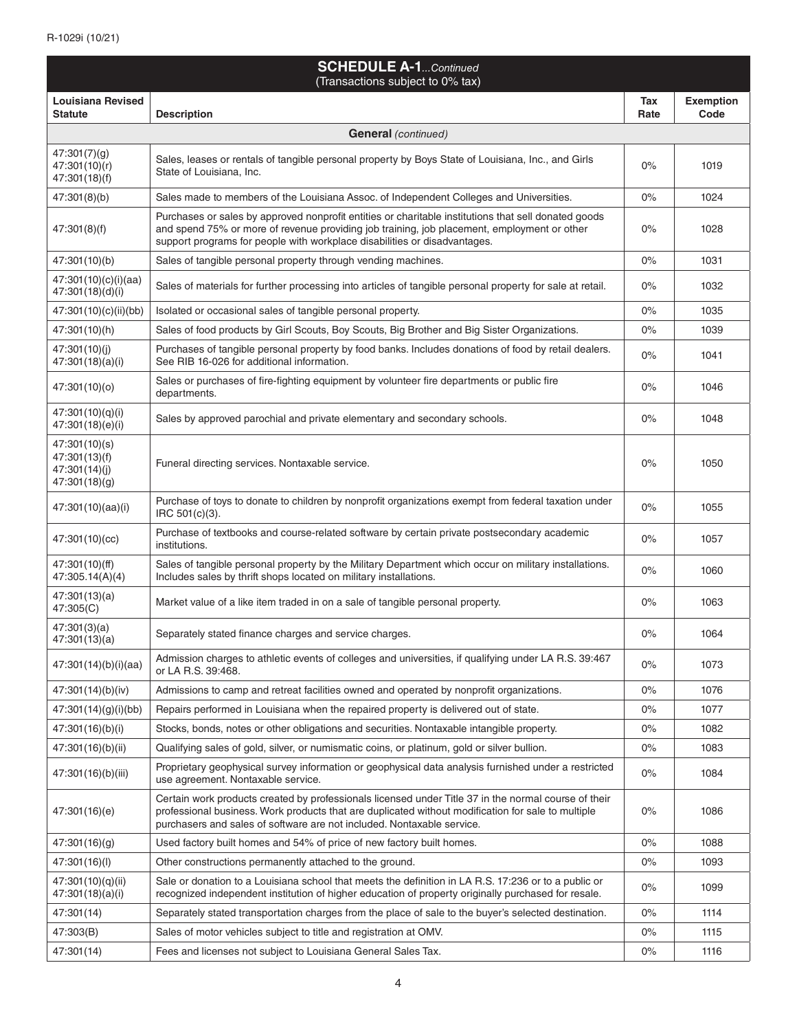| <b>SCHEDULE A-1</b> Continued<br>(Transactions subject to 0% tax) |                                                                                                                                                                                                                                                                                      |             |                          |
|-------------------------------------------------------------------|--------------------------------------------------------------------------------------------------------------------------------------------------------------------------------------------------------------------------------------------------------------------------------------|-------------|--------------------------|
| Louisiana Revised<br><b>Statute</b>                               | <b>Description</b>                                                                                                                                                                                                                                                                   | Tax<br>Rate | <b>Exemption</b><br>Code |
|                                                                   | <b>General</b> (continued)                                                                                                                                                                                                                                                           |             |                          |
| 47:301(7)(g)<br>47:301(10)(r)<br>47:301(18)(f)                    | Sales, leases or rentals of tangible personal property by Boys State of Louisiana, Inc., and Girls<br>State of Louisiana, Inc.                                                                                                                                                       | 0%          | 1019                     |
| 47:301(8)(b)                                                      | Sales made to members of the Louisiana Assoc. of Independent Colleges and Universities.                                                                                                                                                                                              | 0%          | 1024                     |
| 47:301(8)(f)                                                      | Purchases or sales by approved nonprofit entities or charitable institutions that sell donated goods<br>and spend 75% or more of revenue providing job training, job placement, employment or other<br>support programs for people with workplace disabilities or disadvantages.     | 0%          | 1028                     |
| 47:301(10)(b)                                                     | Sales of tangible personal property through vending machines.                                                                                                                                                                                                                        | 0%          | 1031                     |
| 47:301(10)(c)(i)(aa)<br>47:301(18)(d)(i)                          | Sales of materials for further processing into articles of tangible personal property for sale at retail.                                                                                                                                                                            | 0%          | 1032                     |
| 47:301(10)(c)(ii)(bb)                                             | Isolated or occasional sales of tangible personal property.                                                                                                                                                                                                                          | 0%          | 1035                     |
| 47:301(10)(h)                                                     | Sales of food products by Girl Scouts, Boy Scouts, Big Brother and Big Sister Organizations.                                                                                                                                                                                         | 0%          | 1039                     |
| 47:301(10)(j)<br>47:301(18)(a)(i)                                 | Purchases of tangible personal property by food banks. Includes donations of food by retail dealers.<br>See RIB 16-026 for additional information.                                                                                                                                   | $0\%$       | 1041                     |
| 47:301(10)(o)                                                     | Sales or purchases of fire-fighting equipment by volunteer fire departments or public fire<br>departments.                                                                                                                                                                           | 0%          | 1046                     |
| 47:301(10)(q)(i)<br>47:301(18)(e)(i)                              | Sales by approved parochial and private elementary and secondary schools.                                                                                                                                                                                                            | 0%          | 1048                     |
| 47:301(10)(s)<br>47:301(13)(f)<br>47:301(14)(j)<br>47:301(18)(g)  | Funeral directing services. Nontaxable service.                                                                                                                                                                                                                                      | 0%          | 1050                     |
| 47:301(10)(aa)(i)                                                 | Purchase of toys to donate to children by nonprofit organizations exempt from federal taxation under<br>IRC 501(c)(3).                                                                                                                                                               | 0%          | 1055                     |
| 47:301(10)(cc)                                                    | Purchase of textbooks and course-related software by certain private postsecondary academic<br>institutions.                                                                                                                                                                         | 0%          | 1057                     |
| 47:301(10)(ff)<br>47:305.14(A)(4)                                 | Sales of tangible personal property by the Military Department which occur on military installations.<br>Includes sales by thrift shops located on military installations.                                                                                                           | 0%          | 1060                     |
| 47:301(13)(a)<br>47:305(C)                                        | Market value of a like item traded in on a sale of tangible personal property.                                                                                                                                                                                                       | 0%          | 1063                     |
| 47:301(3)(a)<br>47:301(13)(a)                                     | Separately stated finance charges and service charges.                                                                                                                                                                                                                               | 0%          | 1064                     |
| 47:301(14)(b)(i)(aa)                                              | Admission charges to athletic events of colleges and universities, if qualifying under LA R.S. 39:467<br>or LA R.S. 39:468.                                                                                                                                                          | 0%          | 1073                     |
| 47:301(14)(b)(iv)                                                 | Admissions to camp and retreat facilities owned and operated by nonprofit organizations.                                                                                                                                                                                             | 0%          | 1076                     |
| 47:301(14)(g)(i)(bb)                                              | Repairs performed in Louisiana when the repaired property is delivered out of state.                                                                                                                                                                                                 | 0%          | 1077                     |
| 47:301(16)(b)(i)                                                  | Stocks, bonds, notes or other obligations and securities. Nontaxable intangible property.                                                                                                                                                                                            | $0\%$       | 1082                     |
| 47:301(16)(b)(ii)                                                 | Qualifying sales of gold, silver, or numismatic coins, or platinum, gold or silver bullion.                                                                                                                                                                                          | 0%          | 1083                     |
| 47:301(16)(b)(iii)                                                | Proprietary geophysical survey information or geophysical data analysis furnished under a restricted<br>use agreement. Nontaxable service.                                                                                                                                           | $0\%$       | 1084                     |
| 47:301(16)(e)                                                     | Certain work products created by professionals licensed under Title 37 in the normal course of their<br>professional business. Work products that are duplicated without modification for sale to multiple<br>purchasers and sales of software are not included. Nontaxable service. | 0%          | 1086                     |
| 47:301(16)(g)                                                     | Used factory built homes and 54% of price of new factory built homes.                                                                                                                                                                                                                | 0%          | 1088                     |
| 47:301(16)(l)                                                     | Other constructions permanently attached to the ground.                                                                                                                                                                                                                              | 0%          | 1093                     |
| 47:301(10)(q)(ii)<br>47:301(18)(a)(i)                             | Sale or donation to a Louisiana school that meets the definition in LA R.S. 17:236 or to a public or<br>recognized independent institution of higher education of property originally purchased for resale.                                                                          | 0%          | 1099                     |
| 47:301(14)                                                        | Separately stated transportation charges from the place of sale to the buyer's selected destination.                                                                                                                                                                                 | $0\%$       | 1114                     |
| 47:303(B)                                                         | Sales of motor vehicles subject to title and registration at OMV.                                                                                                                                                                                                                    | $0\%$       | 1115                     |
| 47:301(14)                                                        | Fees and licenses not subject to Louisiana General Sales Tax.                                                                                                                                                                                                                        | 0%          | 1116                     |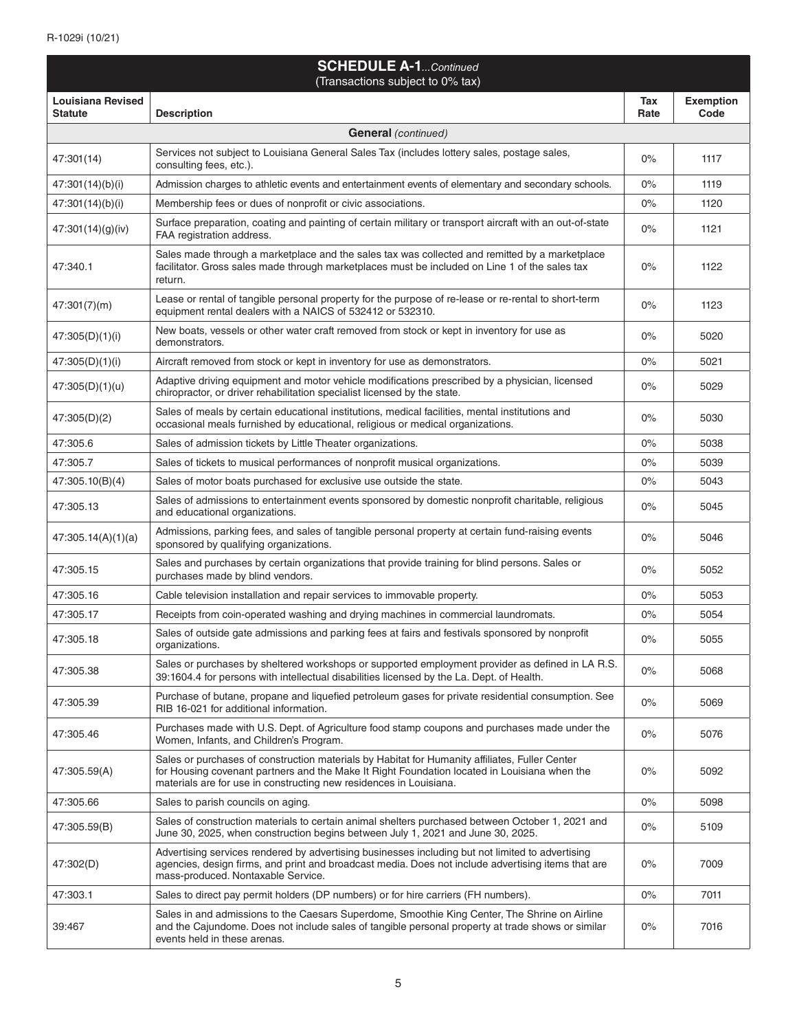| <b>SCHEDULE A-1</b> Continued<br>(Transactions subject to 0% tax) |                                                                                                                                                                                                                                                                      |             |                          |
|-------------------------------------------------------------------|----------------------------------------------------------------------------------------------------------------------------------------------------------------------------------------------------------------------------------------------------------------------|-------------|--------------------------|
| Louisiana Revised<br><b>Statute</b>                               | <b>Description</b>                                                                                                                                                                                                                                                   | Tax<br>Rate | <b>Exemption</b><br>Code |
|                                                                   | <b>General</b> (continued)                                                                                                                                                                                                                                           |             |                          |
| 47:301(14)                                                        | Services not subject to Louisiana General Sales Tax (includes lottery sales, postage sales,<br>consulting fees, etc.).                                                                                                                                               | 0%          | 1117                     |
| 47:301(14)(b)(i)                                                  | Admission charges to athletic events and entertainment events of elementary and secondary schools.                                                                                                                                                                   | 0%          | 1119                     |
| 47:301(14)(b)(i)                                                  | Membership fees or dues of nonprofit or civic associations.                                                                                                                                                                                                          | 0%          | 1120                     |
| 47:301(14)(g)(iv)                                                 | Surface preparation, coating and painting of certain military or transport aircraft with an out-of-state<br>FAA registration address.                                                                                                                                | 0%          | 1121                     |
| 47:340.1                                                          | Sales made through a marketplace and the sales tax was collected and remitted by a marketplace<br>facilitator. Gross sales made through marketplaces must be included on Line 1 of the sales tax<br>return.                                                          | 0%          | 1122                     |
| 47:301(7)(m)                                                      | Lease or rental of tangible personal property for the purpose of re-lease or re-rental to short-term<br>equipment rental dealers with a NAICS of 532412 or 532310.                                                                                                   | 0%          | 1123                     |
| 47:305(D)(1)(i)                                                   | New boats, vessels or other water craft removed from stock or kept in inventory for use as<br>demonstrators.                                                                                                                                                         | 0%          | 5020                     |
| 47:305(D)(1)(i)                                                   | Aircraft removed from stock or kept in inventory for use as demonstrators.                                                                                                                                                                                           | 0%          | 5021                     |
| 47:305(D)(1)(u)                                                   | Adaptive driving equipment and motor vehicle modifications prescribed by a physician, licensed<br>chiropractor, or driver rehabilitation specialist licensed by the state.                                                                                           | 0%          | 5029                     |
| 47:305(D)(2)                                                      | Sales of meals by certain educational institutions, medical facilities, mental institutions and<br>occasional meals furnished by educational, religious or medical organizations.                                                                                    | 0%          | 5030                     |
| 47:305.6                                                          | Sales of admission tickets by Little Theater organizations.                                                                                                                                                                                                          | 0%          | 5038                     |
| 47:305.7                                                          | Sales of tickets to musical performances of nonprofit musical organizations.                                                                                                                                                                                         | 0%          | 5039                     |
| 47:305.10(B)(4)                                                   | Sales of motor boats purchased for exclusive use outside the state.                                                                                                                                                                                                  | 0%          | 5043                     |
| 47:305.13                                                         | Sales of admissions to entertainment events sponsored by domestic nonprofit charitable, religious<br>and educational organizations.                                                                                                                                  | 0%          | 5045                     |
| 47:305.14(A)(1)(a)                                                | Admissions, parking fees, and sales of tangible personal property at certain fund-raising events<br>sponsored by qualifying organizations.                                                                                                                           | 0%          | 5046                     |
| 47:305.15                                                         | Sales and purchases by certain organizations that provide training for blind persons. Sales or<br>purchases made by blind vendors.                                                                                                                                   | 0%          | 5052                     |
| 47:305.16                                                         | Cable television installation and repair services to immovable property.                                                                                                                                                                                             | 0%          | 5053                     |
| 47:305.17                                                         | Receipts from coin-operated washing and drying machines in commercial laundromats.                                                                                                                                                                                   | 0%          | 5054                     |
| 47:305.18                                                         | Sales of outside gate admissions and parking fees at fairs and festivals sponsored by nonprofit<br>organizations.                                                                                                                                                    | $0\%$       | 5055                     |
| 47:305.38                                                         | Sales or purchases by sheltered workshops or supported employment provider as defined in LA R.S.<br>39:1604.4 for persons with intellectual disabilities licensed by the La. Dept. of Health.                                                                        | 0%          | 5068                     |
| 47:305.39                                                         | Purchase of butane, propane and liquefied petroleum gases for private residential consumption. See<br>RIB 16-021 for additional information.                                                                                                                         | 0%          | 5069                     |
| 47:305.46                                                         | Purchases made with U.S. Dept. of Agriculture food stamp coupons and purchases made under the<br>Women, Infants, and Children's Program.                                                                                                                             | 0%          | 5076                     |
| 47:305.59(A)                                                      | Sales or purchases of construction materials by Habitat for Humanity affiliates, Fuller Center<br>for Housing covenant partners and the Make It Right Foundation located in Louisiana when the<br>materials are for use in constructing new residences in Louisiana. | 0%          | 5092                     |
| 47:305.66                                                         | Sales to parish councils on aging.                                                                                                                                                                                                                                   | 0%          | 5098                     |
| 47:305.59(B)                                                      | Sales of construction materials to certain animal shelters purchased between October 1, 2021 and<br>June 30, 2025, when construction begins between July 1, 2021 and June 30, 2025.                                                                                  | $0\%$       | 5109                     |
| 47:302(D)                                                         | Advertising services rendered by advertising businesses including but not limited to advertising<br>agencies, design firms, and print and broadcast media. Does not include advertising items that are<br>mass-produced. Nontaxable Service.                         | 0%          | 7009                     |
| 47:303.1                                                          | Sales to direct pay permit holders (DP numbers) or for hire carriers (FH numbers).                                                                                                                                                                                   | 0%          | 7011                     |
| 39:467                                                            | Sales in and admissions to the Caesars Superdome, Smoothie King Center, The Shrine on Airline<br>and the Cajundome. Does not include sales of tangible personal property at trade shows or similar<br>events held in these arenas.                                   | $0\%$       | 7016                     |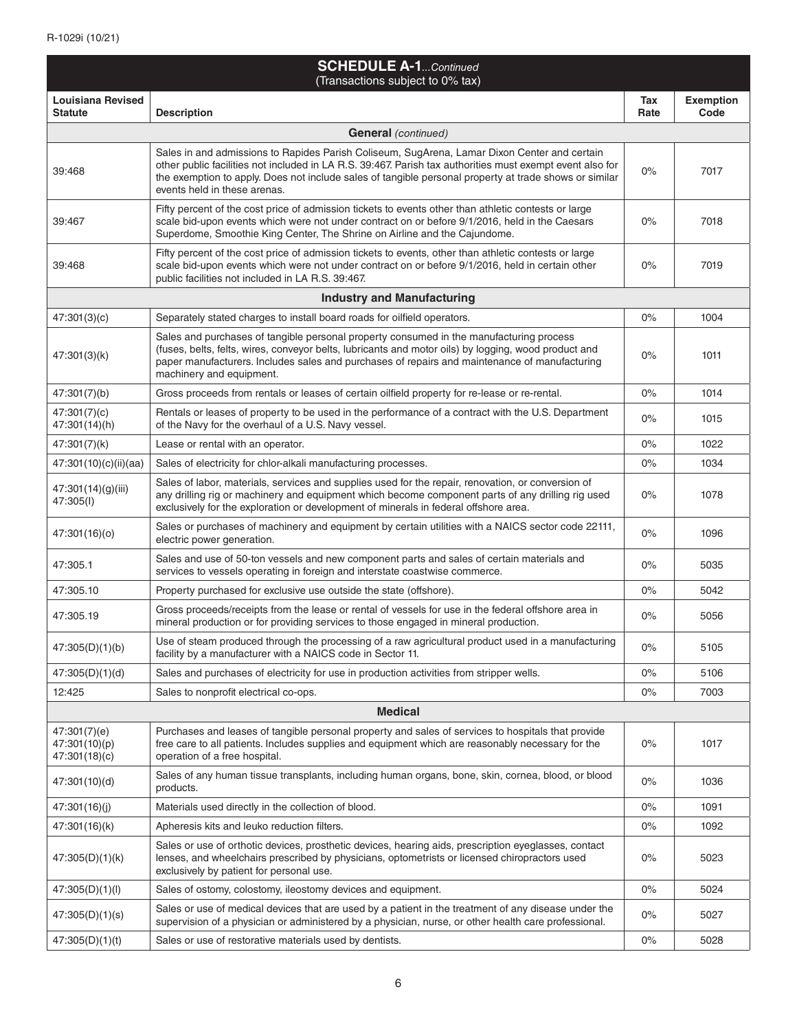| <b>SCHEDULE A-1</b> Continued<br>(Transactions subject to 0% tax) |                                                                                                                                                                                                                                                                                                                                                     |             |                          |
|-------------------------------------------------------------------|-----------------------------------------------------------------------------------------------------------------------------------------------------------------------------------------------------------------------------------------------------------------------------------------------------------------------------------------------------|-------------|--------------------------|
| <b>Louisiana Revised</b><br><b>Statute</b>                        | <b>Description</b>                                                                                                                                                                                                                                                                                                                                  | Tax<br>Rate | <b>Exemption</b><br>Code |
|                                                                   | <b>General</b> (continued)                                                                                                                                                                                                                                                                                                                          |             |                          |
| 39:468                                                            | Sales in and admissions to Rapides Parish Coliseum, SugArena, Lamar Dixon Center and certain<br>other public facilities not included in LA R.S. 39:467. Parish tax authorities must exempt event also for<br>the exemption to apply. Does not include sales of tangible personal property at trade shows or similar<br>events held in these arenas. | 0%          | 7017                     |
| 39:467                                                            | Fifty percent of the cost price of admission tickets to events other than athletic contests or large<br>scale bid-upon events which were not under contract on or before 9/1/2016, held in the Caesars<br>Superdome, Smoothie King Center, The Shrine on Airline and the Cajundome.                                                                 | $0\%$       | 7018                     |
| 39:468                                                            | Fifty percent of the cost price of admission tickets to events, other than athletic contests or large<br>scale bid-upon events which were not under contract on or before 9/1/2016, held in certain other<br>public facilities not included in LA R.S. 39:467.                                                                                      | $0\%$       | 7019                     |
|                                                                   | <b>Industry and Manufacturing</b>                                                                                                                                                                                                                                                                                                                   |             |                          |
| 47:301(3)(c)                                                      | Separately stated charges to install board roads for oilfield operators.                                                                                                                                                                                                                                                                            | $0\%$       | 1004                     |
| 47:301(3)(k)                                                      | Sales and purchases of tangible personal property consumed in the manufacturing process<br>(fuses, belts, felts, wires, conveyor belts, lubricants and motor oils) by logging, wood product and<br>paper manufacturers. Includes sales and purchases of repairs and maintenance of manufacturing<br>machinery and equipment.                        | $0\%$       | 1011                     |
| 47:301(7)(b)                                                      | Gross proceeds from rentals or leases of certain oilfield property for re-lease or re-rental.                                                                                                                                                                                                                                                       | $0\%$       | 1014                     |
| 47:301(7)(c)<br>47:301(14)(h)                                     | Rentals or leases of property to be used in the performance of a contract with the U.S. Department<br>of the Navy for the overhaul of a U.S. Navy vessel.                                                                                                                                                                                           | 0%          | 1015                     |
| 47:301(7)(k)                                                      | Lease or rental with an operator.                                                                                                                                                                                                                                                                                                                   | $0\%$       | 1022                     |
| 47:301(10)(c)(ii)(aa)                                             | Sales of electricity for chlor-alkali manufacturing processes.                                                                                                                                                                                                                                                                                      | $0\%$       | 1034                     |
| 47:301(14)(g)(iii)<br>47:305(I)                                   | Sales of labor, materials, services and supplies used for the repair, renovation, or conversion of<br>any drilling rig or machinery and equipment which become component parts of any drilling rig used<br>exclusively for the exploration or development of minerals in federal offshore area.                                                     | $0\%$       | 1078                     |
| 47:301(16)(o)                                                     | Sales or purchases of machinery and equipment by certain utilities with a NAICS sector code 22111,<br>electric power generation.                                                                                                                                                                                                                    | $0\%$       | 1096                     |
| 47:305.1                                                          | Sales and use of 50-ton vessels and new component parts and sales of certain materials and<br>services to vessels operating in foreign and interstate coastwise commerce.                                                                                                                                                                           | $0\%$       | 5035                     |
| 47:305.10                                                         | Property purchased for exclusive use outside the state (offshore).                                                                                                                                                                                                                                                                                  | $0\%$       | 5042                     |
| 47:305.19                                                         | Gross proceeds/receipts from the lease or rental of vessels for use in the federal offshore area in<br>mineral production or for providing services to those engaged in mineral production.                                                                                                                                                         | $0\%$       | 5056                     |
| 47:305(D)(1)(b)                                                   | Use of steam produced through the processing of a raw agricultural product used in a manufacturing<br>facility by a manufacturer with a NAICS code in Sector 11.                                                                                                                                                                                    | $0\%$       | 5105                     |
| 47:305(D)(1)(d)                                                   | Sales and purchases of electricity for use in production activities from stripper wells.                                                                                                                                                                                                                                                            | 0%          | 5106                     |
| 12:425                                                            | Sales to nonprofit electrical co-ops.                                                                                                                                                                                                                                                                                                               | 0%          | 7003                     |
|                                                                   | <b>Medical</b>                                                                                                                                                                                                                                                                                                                                      |             |                          |
| 47:301(7)(e)<br>47:301(10)(p)<br>47:301(18)(c)                    | Purchases and leases of tangible personal property and sales of services to hospitals that provide<br>free care to all patients. Includes supplies and equipment which are reasonably necessary for the<br>operation of a free hospital.                                                                                                            | $0\%$       | 1017                     |
| 47:301(10)(d)                                                     | Sales of any human tissue transplants, including human organs, bone, skin, cornea, blood, or blood<br>products.                                                                                                                                                                                                                                     | $0\%$       | 1036                     |
| 47:301(16)(j)                                                     | Materials used directly in the collection of blood.                                                                                                                                                                                                                                                                                                 | 0%          | 1091                     |
| 47:301(16)(k)                                                     | Apheresis kits and leuko reduction filters.                                                                                                                                                                                                                                                                                                         | $0\%$       | 1092                     |
| 47:305(D)(1)(k)                                                   | Sales or use of orthotic devices, prosthetic devices, hearing aids, prescription eyeglasses, contact<br>lenses, and wheelchairs prescribed by physicians, optometrists or licensed chiropractors used<br>exclusively by patient for personal use.                                                                                                   | 0%          | 5023                     |
| 47:305(D)(1)(I)                                                   | Sales of ostomy, colostomy, ileostomy devices and equipment.                                                                                                                                                                                                                                                                                        | $0\%$       | 5024                     |
| 47:305(D)(1)(s)                                                   | Sales or use of medical devices that are used by a patient in the treatment of any disease under the<br>supervision of a physician or administered by a physician, nurse, or other health care professional.                                                                                                                                        | 0%          | 5027                     |
| 47:305(D)(1)(t)                                                   | Sales or use of restorative materials used by dentists.                                                                                                                                                                                                                                                                                             | $0\%$       | 5028                     |